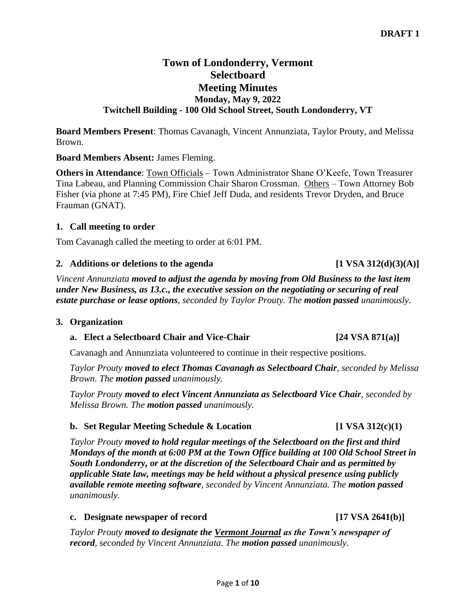# **Town of Londonderry, Vermont Selectboard Meeting Minutes Monday, May 9, 2022 Twitchell Building - 100 Old School Street, South Londonderry, VT**

**Board Members Present**: Thomas Cavanagh, Vincent Annunziata, Taylor Prouty, and Melissa Brown.

#### **Board Members Absent:** James Fleming.

**Others in Attendance**: Town Officials – Town Administrator Shane O'Keefe, Town Treasurer Tina Labeau, and Planning Commission Chair Sharon Crossman. Others – Town Attorney Bob Fisher (via phone at 7:45 PM), Fire Chief Jeff Duda, and residents Trevor Dryden, and Bruce Frauman (GNAT).

## **1. Call meeting to order**

Tom Cavanagh called the meeting to order at 6:01 PM.

## **2. Additions or deletions to the agenda [1 VSA 312(d)(3)(A)]**

*Vincent Annunziata moved to adjust the agenda by moving from Old Business to the last item under New Business, as 13.c., the executive session on the negotiating or securing of real estate purchase or lease options, seconded by Taylor Prouty. The motion passed unanimously.*

#### **3. Organization**

# **a.** Elect a Selectboard Chair and Vice-Chair **124 VSA 871(a)**

Cavanagh and Annunziata volunteered to continue in their respective positions.

*Taylor Prouty moved to elect Thomas Cavanagh as Selectboard Chair, seconded by Melissa Brown. The motion passed unanimously.*

*Taylor Prouty moved to elect Vincent Annunziata as Selectboard Vice Chair, seconded by Melissa Brown. The motion passed unanimously.*

# **b.** Set Regular Meeting Schedule & Location [1 VSA 312(c)(1)

*Taylor Prouty moved to hold regular meetings of the Selectboard on the first and third Mondays of the month at 6:00 PM at the Town Office building at 100 Old School Street in South Londonderry, or at the discretion of the Selectboard Chair and as permitted by applicable State law, meetings may be held without a physical presence using publicly available remote meeting software, seconded by Vincent Annunziata. The motion passed unanimously.*

#### **c. Designate newspaper of record** [17 VSA 2641(b)]

*Taylor Prouty moved to designate the Vermont Journal as the Town's newspaper of record, seconded by Vincent Annunziata. The motion passed unanimously.*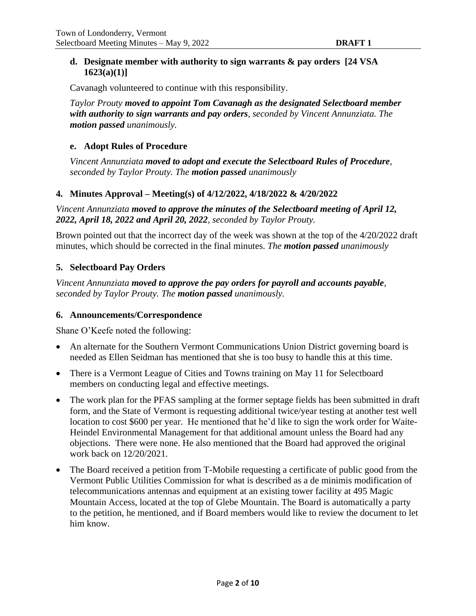#### **d. Designate member with authority to sign warrants & pay orders [24 VSA 1623(a)(1)]**

Cavanagh volunteered to continue with this responsibility.

*Taylor Prouty moved to appoint Tom Cavanagh as the designated Selectboard member with authority to sign warrants and pay orders, seconded by Vincent Annunziata. The motion passed unanimously.*

#### **e. Adopt Rules of Procedure**

*Vincent Annunziata moved to adopt and execute the Selectboard Rules of Procedure, seconded by Taylor Prouty. The motion passed unanimously*

#### **4. Minutes Approval – Meeting(s) of 4/12/2022, 4/18/2022 & 4/20/2022**

*Vincent Annunziata moved to approve the minutes of the Selectboard meeting of April 12, 2022, April 18, 2022 and April 20, 2022, seconded by Taylor Prouty.* 

Brown pointed out that the incorrect day of the week was shown at the top of the 4/20/2022 draft minutes, which should be corrected in the final minutes. *The motion passed unanimously*

#### **5. Selectboard Pay Orders**

*Vincent Annunziata moved to approve the pay orders for payroll and accounts payable, seconded by Taylor Prouty. The motion passed unanimously.*

#### **6. Announcements/Correspondence**

Shane O'Keefe noted the following:

- An alternate for the Southern Vermont Communications Union District governing board is needed as Ellen Seidman has mentioned that she is too busy to handle this at this time.
- There is a Vermont League of Cities and Towns training on May 11 for Selectboard members on conducting legal and effective meetings.
- The work plan for the PFAS sampling at the former septage fields has been submitted in draft form, and the State of Vermont is requesting additional twice/year testing at another test well location to cost \$600 per year. He mentioned that he'd like to sign the work order for Waite-Heindel Environmental Management for that additional amount unless the Board had any objections. There were none. He also mentioned that the Board had approved the original work back on 12/20/2021.
- The Board received a petition from T-Mobile requesting a certificate of public good from the Vermont Public Utilities Commission for what is described as a de minimis modification of telecommunications antennas and equipment at an existing tower facility at 495 Magic Mountain Access, located at the top of Glebe Mountain. The Board is automatically a party to the petition, he mentioned, and if Board members would like to review the document to let him know.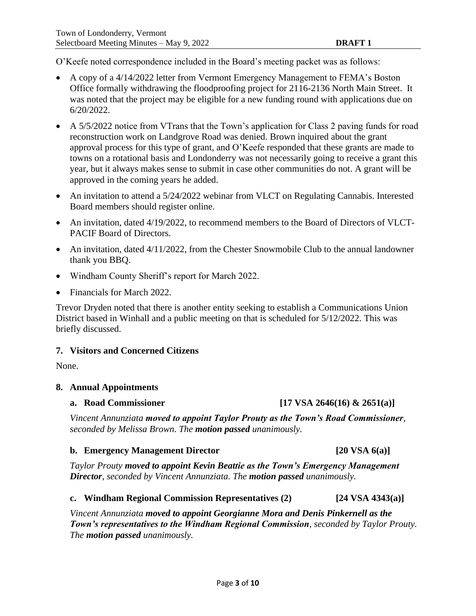O'Keefe noted correspondence included in the Board's meeting packet was as follows:

- A copy of a 4/14/2022 letter from Vermont Emergency Management to FEMA's Boston Office formally withdrawing the floodproofing project for 2116-2136 North Main Street. It was noted that the project may be eligible for a new funding round with applications due on 6/20/2022.
- A 5/5/2022 notice from VTrans that the Town's application for Class 2 paving funds for road reconstruction work on Landgrove Road was denied. Brown inquired about the grant approval process for this type of grant, and O'Keefe responded that these grants are made to towns on a rotational basis and Londonderry was not necessarily going to receive a grant this year, but it always makes sense to submit in case other communities do not. A grant will be approved in the coming years he added.
- An invitation to attend a 5/24/2022 webinar from VLCT on Regulating Cannabis. Interested Board members should register online.
- An invitation, dated 4/19/2022, to recommend members to the Board of Directors of VLCT-PACIF Board of Directors.
- An invitation, dated 4/11/2022, from the Chester Snowmobile Club to the annual landowner thank you BBQ.
- Windham County Sheriff's report for March 2022.
- Financials for March 2022.

Trevor Dryden noted that there is another entity seeking to establish a Communications Union District based in Winhall and a public meeting on that is scheduled for 5/12/2022. This was briefly discussed.

#### **7. Visitors and Concerned Citizens**

None.

#### **8. Annual Appointments**

#### **a. Road Commissioner [17 VSA 2646(16) & 2651(a)]**

*Vincent Annunziata moved to appoint Taylor Prouty as the Town's Road Commissioner, seconded by Melissa Brown. The motion passed unanimously.*

#### **b. Emergency Management Director [20 VSA 6(a)]**

*Taylor Prouty moved to appoint Kevin Beattie as the Town's Emergency Management Director, seconded by Vincent Annunziata. The motion passed unanimously.*

#### **c. Windham Regional Commission Representatives (2) [24 VSA 4343(a)]**

*Vincent Annunziata moved to appoint Georgianne Mora and Denis Pinkernell as the Town's representatives to the Windham Regional Commission, seconded by Taylor Prouty. The motion passed unanimously.*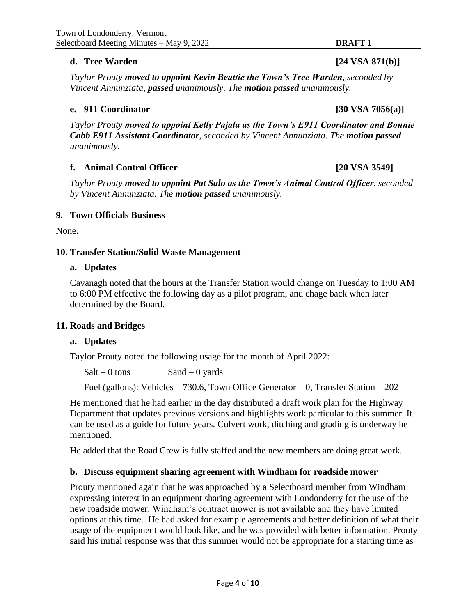## **d. Tree Warden by the USA 871(b)**]

*Taylor Prouty moved to appoint Kevin Beattie the Town's Tree Warden, seconded by Vincent Annunziata, passed unanimously. The motion passed unanimously.*

## **e. 911 Coordinator [30 VSA 7056(a)]**

*Taylor Prouty moved to appoint Kelly Pajala as the Town's E911 Coordinator and Bonnie Cobb E911 Assistant Coordinator, seconded by Vincent Annunziata. The motion passed unanimously.*

## **f. Animal Control Officer [20 VSA 3549]**

*Taylor Prouty moved to appoint Pat Salo as the Town's Animal Control Officer, seconded by Vincent Annunziata. The motion passed unanimously.*

#### **9. Town Officials Business**

None.

## **10. Transfer Station/Solid Waste Management**

#### **a. Updates**

Cavanagh noted that the hours at the Transfer Station would change on Tuesday to 1:00 AM to 6:00 PM effective the following day as a pilot program, and chage back when later determined by the Board.

#### **11. Roads and Bridges**

#### **a. Updates**

Taylor Prouty noted the following usage for the month of April 2022:

 $Salt - 0$  tons  $Sand - 0$  yards

Fuel (gallons): Vehicles – 730.6, Town Office Generator – 0, Transfer Station – 202

He mentioned that he had earlier in the day distributed a draft work plan for the Highway Department that updates previous versions and highlights work particular to this summer. It can be used as a guide for future years. Culvert work, ditching and grading is underway he mentioned.

He added that the Road Crew is fully staffed and the new members are doing great work.

#### **b. Discuss equipment sharing agreement with Windham for roadside mower**

Prouty mentioned again that he was approached by a Selectboard member from Windham expressing interest in an equipment sharing agreement with Londonderry for the use of the new roadside mower. Windham's contract mower is not available and they have limited options at this time. He had asked for example agreements and better definition of what their usage of the equipment would look like, and he was provided with better information. Prouty said his initial response was that this summer would not be appropriate for a starting time as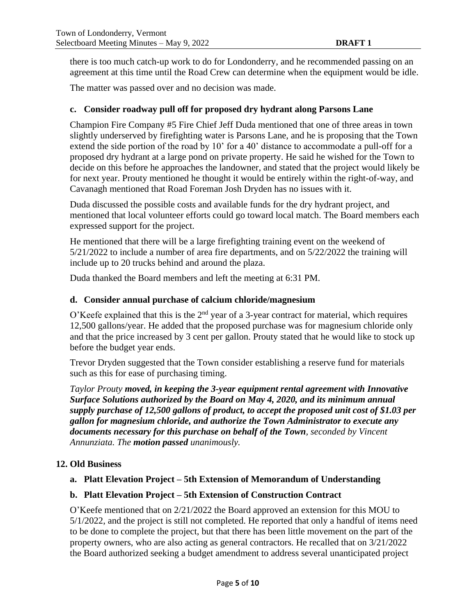there is too much catch-up work to do for Londonderry, and he recommended passing on an agreement at this time until the Road Crew can determine when the equipment would be idle.

The matter was passed over and no decision was made.

## **c. Consider roadway pull off for proposed dry hydrant along Parsons Lane**

Champion Fire Company #5 Fire Chief Jeff Duda mentioned that one of three areas in town slightly underserved by firefighting water is Parsons Lane, and he is proposing that the Town extend the side portion of the road by 10' for a 40' distance to accommodate a pull-off for a proposed dry hydrant at a large pond on private property. He said he wished for the Town to decide on this before he approaches the landowner, and stated that the project would likely be for next year. Prouty mentioned he thought it would be entirely within the right-of-way, and Cavanagh mentioned that Road Foreman Josh Dryden has no issues with it.

Duda discussed the possible costs and available funds for the dry hydrant project, and mentioned that local volunteer efforts could go toward local match. The Board members each expressed support for the project.

He mentioned that there will be a large firefighting training event on the weekend of 5/21/2022 to include a number of area fire departments, and on 5/22/2022 the training will include up to 20 trucks behind and around the plaza.

Duda thanked the Board members and left the meeting at 6:31 PM.

## **d. Consider annual purchase of calcium chloride/magnesium**

O'Keefe explained that this is the  $2<sup>nd</sup>$  year of a 3-year contract for material, which requires 12,500 gallons/year. He added that the proposed purchase was for magnesium chloride only and that the price increased by 3 cent per gallon. Prouty stated that he would like to stock up before the budget year ends.

Trevor Dryden suggested that the Town consider establishing a reserve fund for materials such as this for ease of purchasing timing.

*Taylor Prouty moved, in keeping the 3-year equipment rental agreement with Innovative Surface Solutions authorized by the Board on May 4, 2020, and its minimum annual supply purchase of 12,500 gallons of product, to accept the proposed unit cost of \$1.03 per gallon for magnesium chloride, and authorize the Town Administrator to execute any documents necessary for this purchase on behalf of the Town, seconded by Vincent Annunziata. The motion passed unanimously.*

#### **12. Old Business**

# **a. Platt Elevation Project – 5th Extension of Memorandum of Understanding**

#### **b. Platt Elevation Project – 5th Extension of Construction Contract**

O'Keefe mentioned that on 2/21/2022 the Board approved an extension for this MOU to 5/1/2022, and the project is still not completed. He reported that only a handful of items need to be done to complete the project, but that there has been little movement on the part of the property owners, who are also acting as general contractors. He recalled that on 3/21/2022 the Board authorized seeking a budget amendment to address several unanticipated project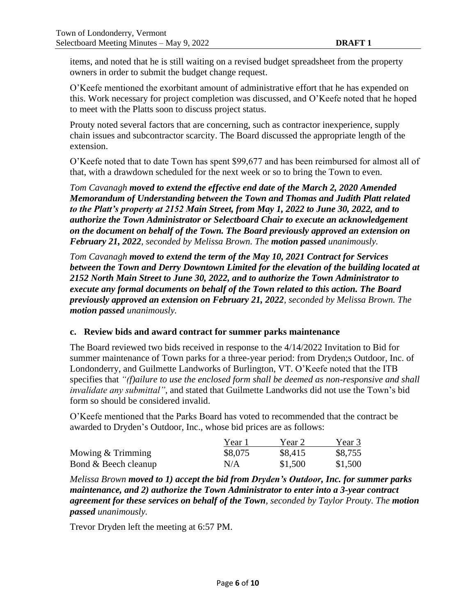items, and noted that he is still waiting on a revised budget spreadsheet from the property owners in order to submit the budget change request.

O'Keefe mentioned the exorbitant amount of administrative effort that he has expended on this. Work necessary for project completion was discussed, and O'Keefe noted that he hoped to meet with the Platts soon to discuss project status.

Prouty noted several factors that are concerning, such as contractor inexperience, supply chain issues and subcontractor scarcity. The Board discussed the appropriate length of the extension.

O'Keefe noted that to date Town has spent \$99,677 and has been reimbursed for almost all of that, with a drawdown scheduled for the next week or so to bring the Town to even.

*Tom Cavanagh moved to extend the effective end date of the March 2, 2020 Amended Memorandum of Understanding between the Town and Thomas and Judith Platt related to the Platt's property at 2152 Main Street, from May 1, 2022 to June 30, 2022, and to authorize the Town Administrator or Selectboard Chair to execute an acknowledgement on the document on behalf of the Town. The Board previously approved an extension on February 21, 2022, seconded by Melissa Brown. The motion passed unanimously.*

*Tom Cavanagh moved to extend the term of the May 10, 2021 Contract for Services between the Town and Derry Downtown Limited for the elevation of the building located at 2152 North Main Street to June 30, 2022, and to authorize the Town Administrator to execute any formal documents on behalf of the Town related to this action. The Board previously approved an extension on February 21, 2022, seconded by Melissa Brown. The motion passed unanimously.*

#### **c. Review bids and award contract for summer parks maintenance**

The Board reviewed two bids received in response to the 4/14/2022 Invitation to Bid for summer maintenance of Town parks for a three-year period: from Dryden;s Outdoor, Inc. of Londonderry, and Guilmette Landworks of Burlington, VT. O'Keefe noted that the ITB specifies that *"(f)ailure to use the enclosed form shall be deemed as non-responsive and shall invalidate any submittal"*, and stated that Guilmette Landworks did not use the Town's bid form so should be considered invalid.

O'Keefe mentioned that the Parks Board has voted to recommended that the contract be awarded to Dryden's Outdoor, Inc., whose bid prices are as follows:

|                      | Year 1  | Year 2  | Year 3  |
|----------------------|---------|---------|---------|
| Mowing & Trimming    | \$8,075 | \$8,415 | \$8,755 |
| Bond & Beech cleanup | N/A     | \$1,500 | \$1,500 |

*Melissa Brown moved to 1) accept the bid from Dryden's Outdoor, Inc. for summer parks maintenance, and 2) authorize the Town Administrator to enter into a 3-year contract agreement for these services on behalf of the Town, seconded by Taylor Prouty. The motion passed unanimously.*

Trevor Dryden left the meeting at 6:57 PM.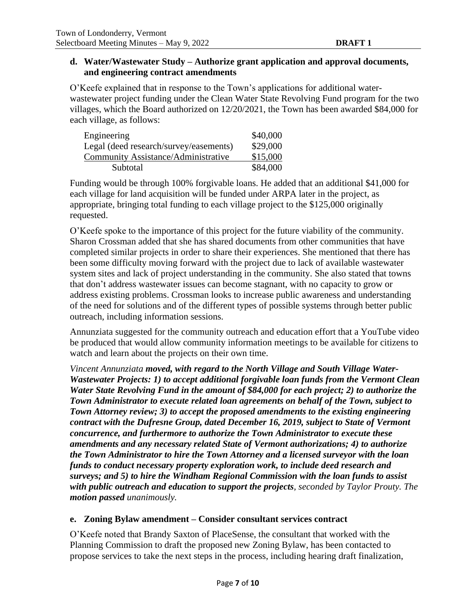#### **d. Water/Wastewater Study – Authorize grant application and approval documents, and engineering contract amendments**

O'Keefe explained that in response to the Town's applications for additional waterwastewater project funding under the Clean Water State Revolving Fund program for the two villages, which the Board authorized on 12/20/2021, the Town has been awarded \$84,000 for each village, as follows:

| Engineering                            | \$40,000 |
|----------------------------------------|----------|
| Legal (deed research/survey/easements) | \$29,000 |
| Community Assistance/Administrative    | \$15,000 |
| Subtotal                               | \$84,000 |

Funding would be through 100% forgivable loans. He added that an additional \$41,000 for each village for land acquisition will be funded under ARPA later in the project, as appropriate, bringing total funding to each village project to the \$125,000 originally requested.

O'Keefe spoke to the importance of this project for the future viability of the community. Sharon Crossman added that she has shared documents from other communities that have completed similar projects in order to share their experiences. She mentioned that there has been some difficulty moving forward with the project due to lack of available wastewater system sites and lack of project understanding in the community. She also stated that towns that don't address wastewater issues can become stagnant, with no capacity to grow or address existing problems. Crossman looks to increase public awareness and understanding of the need for solutions and of the different types of possible systems through better public outreach, including information sessions.

Annunziata suggested for the community outreach and education effort that a YouTube video be produced that would allow community information meetings to be available for citizens to watch and learn about the projects on their own time.

*Vincent Annunziata moved, with regard to the North Village and South Village Water-Wastewater Projects: 1) to accept additional forgivable loan funds from the Vermont Clean Water State Revolving Fund in the amount of \$84,000 for each project; 2) to authorize the Town Administrator to execute related loan agreements on behalf of the Town, subject to Town Attorney review; 3) to accept the proposed amendments to the existing engineering contract with the Dufresne Group, dated December 16, 2019, subject to State of Vermont concurrence, and furthermore to authorize the Town Administrator to execute these amendments and any necessary related State of Vermont authorizations; 4) to authorize the Town Administrator to hire the Town Attorney and a licensed surveyor with the loan funds to conduct necessary property exploration work, to include deed research and surveys; and 5) to hire the Windham Regional Commission with the loan funds to assist with public outreach and education to support the projects, seconded by Taylor Prouty. The motion passed unanimously.*

#### **e. Zoning Bylaw amendment – Consider consultant services contract**

O'Keefe noted that Brandy Saxton of PlaceSense, the consultant that worked with the Planning Commission to draft the proposed new Zoning Bylaw, has been contacted to propose services to take the next steps in the process, including hearing draft finalization,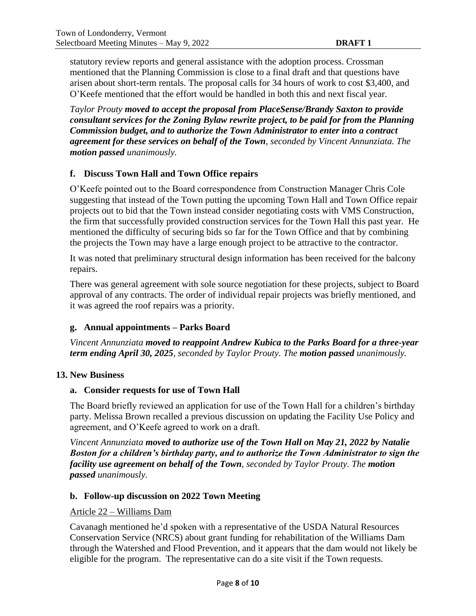statutory review reports and general assistance with the adoption process. Crossman mentioned that the Planning Commission is close to a final draft and that questions have arisen about short-term rentals. The proposal calls for 34 hours of work to cost \$3,400, and O'Keefe mentioned that the effort would be handled in both this and next fiscal year.

*Taylor Prouty moved to accept the proposal from PlaceSense/Brandy Saxton to provide consultant services for the Zoning Bylaw rewrite project, to be paid for from the Planning Commission budget, and to authorize the Town Administrator to enter into a contract agreement for these services on behalf of the Town, seconded by Vincent Annunziata. The motion passed unanimously.*

# **f. Discuss Town Hall and Town Office repairs**

O'Keefe pointed out to the Board correspondence from Construction Manager Chris Cole suggesting that instead of the Town putting the upcoming Town Hall and Town Office repair projects out to bid that the Town instead consider negotiating costs with VMS Construction, the firm that successfully provided construction services for the Town Hall this past year. He mentioned the difficulty of securing bids so far for the Town Office and that by combining the projects the Town may have a large enough project to be attractive to the contractor.

It was noted that preliminary structural design information has been received for the balcony repairs.

There was general agreement with sole source negotiation for these projects, subject to Board approval of any contracts. The order of individual repair projects was briefly mentioned, and it was agreed the roof repairs was a priority.

#### **g. Annual appointments – Parks Board**

*Vincent Annunziata moved to reappoint Andrew Kubica to the Parks Board for a three-year term ending April 30, 2025, seconded by Taylor Prouty. The motion passed unanimously.*

#### **13. New Business**

#### **a. Consider requests for use of Town Hall**

The Board briefly reviewed an application for use of the Town Hall for a children's birthday party. Melissa Brown recalled a previous discussion on updating the Facility Use Policy and agreement, and O'Keefe agreed to work on a draft.

*Vincent Annunziata moved to authorize use of the Town Hall on May 21, 2022 by Natalie Boston for a children's birthday party, and to authorize the Town Administrator to sign the facility use agreement on behalf of the Town, seconded by Taylor Prouty. The motion passed unanimously.*

#### **b. Follow-up discussion on 2022 Town Meeting**

#### Article 22 – Williams Dam

Cavanagh mentioned he'd spoken with a representative of the USDA Natural Resources Conservation Service (NRCS) about grant funding for rehabilitation of the Williams Dam through the Watershed and Flood Prevention, and it appears that the dam would not likely be eligible for the program. The representative can do a site visit if the Town requests.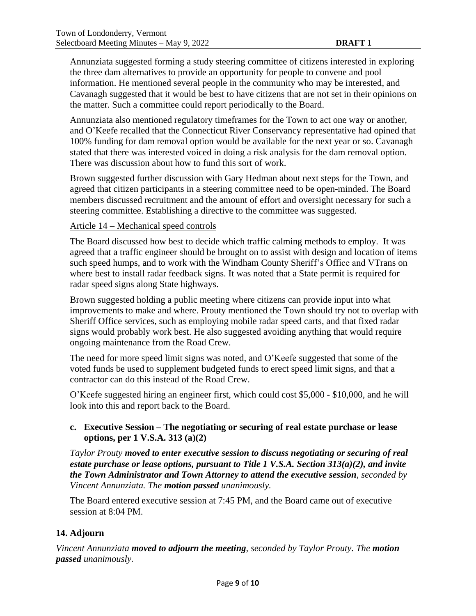Annunziata suggested forming a study steering committee of citizens interested in exploring the three dam alternatives to provide an opportunity for people to convene and pool information. He mentioned several people in the community who may be interested, and Cavanagh suggested that it would be best to have citizens that are not set in their opinions on the matter. Such a committee could report periodically to the Board.

Annunziata also mentioned regulatory timeframes for the Town to act one way or another, and O'Keefe recalled that the Connecticut River Conservancy representative had opined that 100% funding for dam removal option would be available for the next year or so. Cavanagh stated that there was interested voiced in doing a risk analysis for the dam removal option. There was discussion about how to fund this sort of work.

Brown suggested further discussion with Gary Hedman about next steps for the Town, and agreed that citizen participants in a steering committee need to be open-minded. The Board members discussed recruitment and the amount of effort and oversight necessary for such a steering committee. Establishing a directive to the committee was suggested.

## Article 14 – Mechanical speed controls

The Board discussed how best to decide which traffic calming methods to employ. It was agreed that a traffic engineer should be brought on to assist with design and location of items such speed humps, and to work with the Windham County Sheriff's Office and VTrans on where best to install radar feedback signs. It was noted that a State permit is required for radar speed signs along State highways.

Brown suggested holding a public meeting where citizens can provide input into what improvements to make and where. Prouty mentioned the Town should try not to overlap with Sheriff Office services, such as employing mobile radar speed carts, and that fixed radar signs would probably work best. He also suggested avoiding anything that would require ongoing maintenance from the Road Crew.

The need for more speed limit signs was noted, and O'Keefe suggested that some of the voted funds be used to supplement budgeted funds to erect speed limit signs, and that a contractor can do this instead of the Road Crew.

O'Keefe suggested hiring an engineer first, which could cost \$5,000 - \$10,000, and he will look into this and report back to the Board.

# **c. Executive Session – The negotiating or securing of real estate purchase or lease options, per 1 V.S.A. 313 (a)(2)**

*Taylor Prouty moved to enter executive session to discuss negotiating or securing of real estate purchase or lease options, pursuant to Title 1 V.S.A. Section 313(a)(2), and invite the Town Administrator and Town Attorney to attend the executive session, seconded by Vincent Annunziata. The motion passed unanimously.*

The Board entered executive session at 7:45 PM, and the Board came out of executive session at 8:04 PM.

# **14. Adjourn**

*Vincent Annunziata moved to adjourn the meeting, seconded by Taylor Prouty. The motion passed unanimously.*